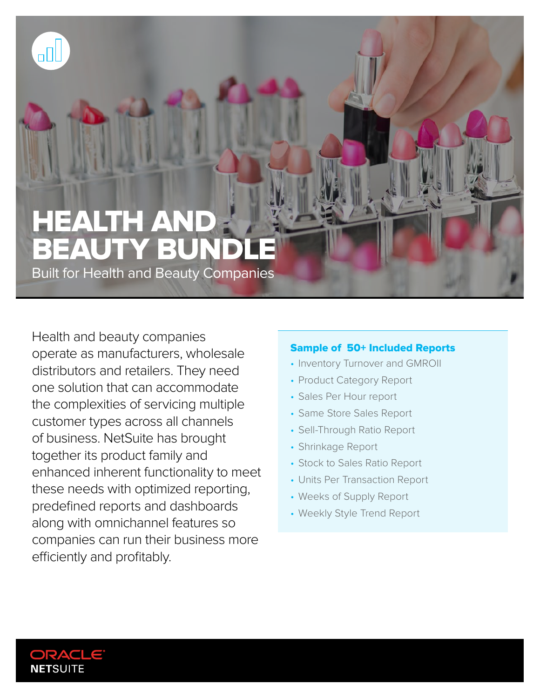# HEALTH AND **BEAUTY BUND**

Built for Health and Beauty Companies

Health and beauty companies operate as manufacturers, wholesale distributors and retailers. They need one solution that can accommodate the complexities of servicing multiple customer types across all channels of business. NetSuite has brought together its product family and enhanced inherent functionality to meet these needs with optimized reporting, predefined reports and dashboards along with omnichannel features so companies can run their business more efficiently and profitably.

## Sample of 50+ Included Reports

- Inventory Turnover and GMROII
- Product Category Report
- Sales Per Hour report
- Same Store Sales Report
- Sell-Through Ratio Report
- Shrinkage Report
- Stock to Sales Ratio Report
- Units Per Transaction Report
- Weeks of Supply Report
- Weekly Style Trend Report



۵OL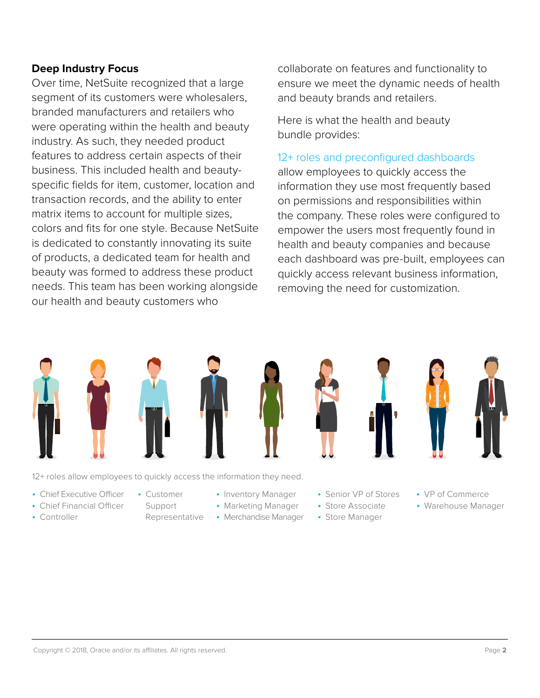## **Deep Industry Focus**

Over time, NetSuite recognized that a large segment of its customers were wholesalers, branded manufacturers and retailers who were operating within the health and beauty industry. As such, they needed product features to address certain aspects of their business. This included health and beautyspecific fields for item, customer, location and transaction records, and the ability to enter matrix items to account for multiple sizes, colors and fits for one style. Because NetSuite is dedicated to constantly innovating its suite of products, a dedicated team for health and beauty was formed to address these product needs. This team has been working alongside our health and beauty customers who

collaborate on features and functionality to ensure we meet the dynamic needs of health and beauty brands and retailers.

Here is what the health and beauty bundle provides:

#### 12+ roles and preconfigured dashboards

allow employees to quickly access the information they use most frequently based on permissions and responsibilities within the company. These roles were configured to empower the users most frequently found in health and beauty companies and because each dashboard was pre-built, employees can quickly access relevant business information, removing the need for customization.



12+ roles allow employees to quickly access the information they need.

- Chief Executive Officer
- Chief Financial Officer
- Controller
- Customer
- Support Representative
- Inventory Manager
- Marketing Manager
- Merchandise Manager
- 



- Senior VP of Stores
- Store Associate
- Store Manager
- VP of Commerce
- Warehouse Manager

[Copyright © 2018, Oracle and/or its affiliates. All rights reserved.](http://www.netsuite.com) Page **2**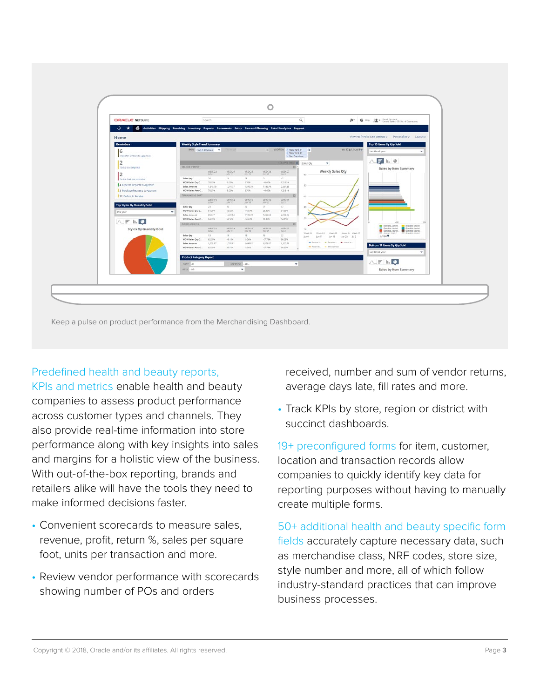

Keep a pulse on product performance from the Merchandising Dashboard.

## Predefined health and beauty reports,

KPIs and metrics enable health and beauty companies to assess product performance across customer types and channels. They also provide real-time information into store performance along with key insights into sales and margins for a holistic view of the business. With out-of-the-box reporting, brands and retailers alike will have the tools they need to make informed decisions faster.

- Convenient scorecards to measure sales, revenue, profit, return %, sales per square foot, units per transaction and more.
- Review vendor performance with scorecards showing number of POs and orders

received, number and sum of vendor returns, average days late, fill rates and more.

• Track KPIs by store, region or district with succinct dashboards.

19+ preconfigured forms for item, customer, location and transaction records allow companies to quickly identify key data for reporting purposes without having to manually create multiple forms.

50+ additional health and beauty specific form fields accurately capture necessary data, such as merchandise class, NRF codes, store size, style number and more, all of which follow industry-standard practices that can improve business processes.